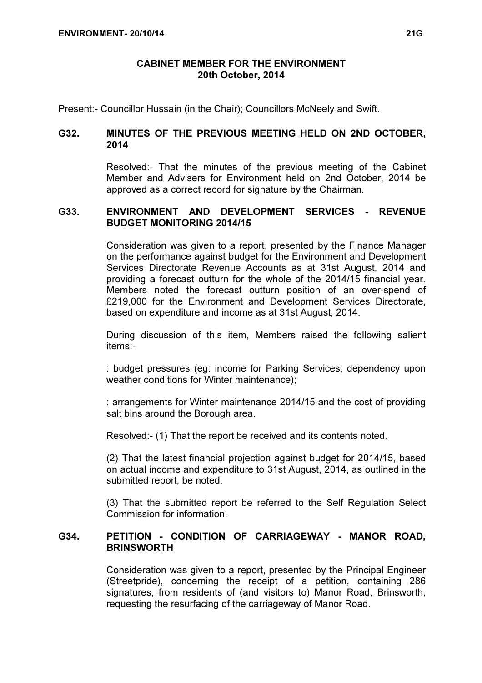# CABINET MEMBER FOR THE ENVIRONMENT 20th October, 2014

Present:- Councillor Hussain (in the Chair); Councillors McNeely and Swift.

# G32. MINUTES OF THE PREVIOUS MEETING HELD ON 2ND OCTOBER, 2014

 Resolved:- That the minutes of the previous meeting of the Cabinet Member and Advisers for Environment held on 2nd October, 2014 be approved as a correct record for signature by the Chairman.

## G33. ENVIRONMENT AND DEVELOPMENT SERVICES - REVENUE BUDGET MONITORING 2014/15

 Consideration was given to a report, presented by the Finance Manager on the performance against budget for the Environment and Development Services Directorate Revenue Accounts as at 31st August, 2014 and providing a forecast outturn for the whole of the 2014/15 financial year. Members noted the forecast outturn position of an over-spend of £219,000 for the Environment and Development Services Directorate, based on expenditure and income as at 31st August, 2014.

During discussion of this item, Members raised the following salient items:-

: budget pressures (eg: income for Parking Services; dependency upon weather conditions for Winter maintenance);

: arrangements for Winter maintenance 2014/15 and the cost of providing salt bins around the Borough area.

Resolved:- (1) That the report be received and its contents noted.

(2) That the latest financial projection against budget for 2014/15, based on actual income and expenditure to 31st August, 2014, as outlined in the submitted report, be noted.

(3) That the submitted report be referred to the Self Regulation Select Commission for information.

# G34. PETITION - CONDITION OF CARRIAGEWAY - MANOR ROAD, **BRINSWORTH**

 Consideration was given to a report, presented by the Principal Engineer (Streetpride), concerning the receipt of a petition, containing 286 signatures, from residents of (and visitors to) Manor Road, Brinsworth, requesting the resurfacing of the carriageway of Manor Road.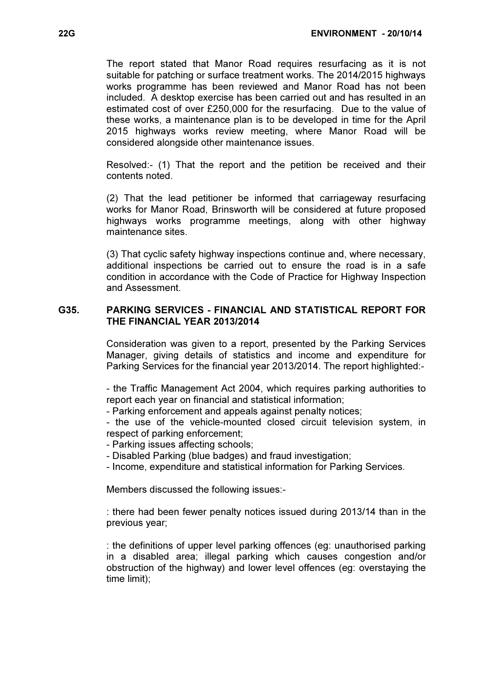The report stated that Manor Road requires resurfacing as it is not suitable for patching or surface treatment works. The 2014/2015 highways works programme has been reviewed and Manor Road has not been included. A desktop exercise has been carried out and has resulted in an estimated cost of over £250,000 for the resurfacing. Due to the value of these works, a maintenance plan is to be developed in time for the April 2015 highways works review meeting, where Manor Road will be considered alongside other maintenance issues.

Resolved:- (1) That the report and the petition be received and their contents noted.

(2) That the lead petitioner be informed that carriageway resurfacing works for Manor Road, Brinsworth will be considered at future proposed highways works programme meetings, along with other highway maintenance sites.

(3) That cyclic safety highway inspections continue and, where necessary, additional inspections be carried out to ensure the road is in a safe condition in accordance with the Code of Practice for Highway Inspection and Assessment.

## G35. PARKING SERVICES - FINANCIAL AND STATISTICAL REPORT FOR THE FINANCIAL YEAR 2013/2014

 Consideration was given to a report, presented by the Parking Services Manager, giving details of statistics and income and expenditure for Parking Services for the financial year 2013/2014. The report highlighted:-

- the Traffic Management Act 2004, which requires parking authorities to report each year on financial and statistical information;

- Parking enforcement and appeals against penalty notices;

- the use of the vehicle-mounted closed circuit television system, in respect of parking enforcement;

- Parking issues affecting schools;

- Disabled Parking (blue badges) and fraud investigation;

- Income, expenditure and statistical information for Parking Services.

Members discussed the following issues:-

: there had been fewer penalty notices issued during 2013/14 than in the previous year;

: the definitions of upper level parking offences (eg: unauthorised parking in a disabled area; illegal parking which causes congestion and/or obstruction of the highway) and lower level offences (eg: overstaying the time limit);